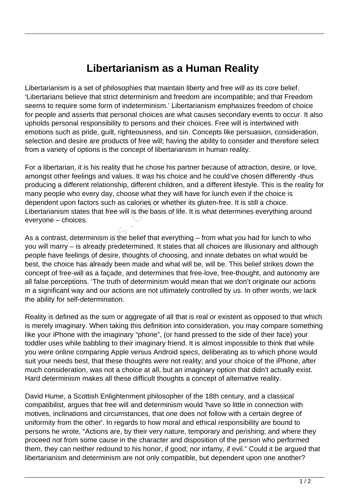## **Libertarianism as a Human Reality**

Libertarianism is a set of philosophies that maintain liberty and free will as its core belief. 'Libertarians believe that strict determinism and freedom are incompatible; and that Freedom seems to require some form of indeterminism.' Libertarianism emphasizes freedom of choice for people and asserts that personal choices are what causes secondary events to occur. It also upholds personal responsibility to persons and their choices. Free will is intertwined with emotions such as pride, guilt, righteousness, and sin. Concepts like persuasion, consideration, selection and desire are products of free will; having the ability to consider and therefore select from a variety of options is the concept of libertarianism in human reality.

For a libertarian, it is his reality that he chose his partner because of attraction, desire, or love, amongst other feelings and values. It was his choice and he could've chosen differently -thus producing a different relationship, different children, and a different lifestyle. This is the reality for many people who every day, choose what they will have for lunch even if the choice is dependent upon factors such as calories or whether its gluten-free. It is still a choice. Libertarianism states that free will is the basis of life. It is what determines everything around everyone – choices.

As a contrast, determinism is the belief that everything – from what you had for lunch to who you will marry – is already predetermined. It states that all choices are illusionary and although people have feelings of desire, thoughts of choosing, and innate debates on what would be best, the choice has already been made and what will be, will be. This belief strikes down the concept of free-will as a façade, and determines that free-love, free-thought, and autonomy are all false perceptions. 'The truth of determinism would mean that we don't originate our actions in a significant way and our actions are not ultimately controlled by us. In other words, we lack the ability for self-determination. educed to the state of the state of the states for the states that free will is the basi-<br>- choices.<br>ast, determinism is the belief that<br>arry – is already predetermined. It<br>ve feelings of desire, thoughts of c<br>hoice has al

Reality is defined as the sum or aggregate of all that is real or existent as opposed to that which is merely imaginary. When taking this definition into consideration, you may compare something like your iPhone with the imaginary "phone", (or hand pressed to the side of their face) your toddler uses while babbling to their imaginary friend. It is almost impossible to think that while you were online comparing Apple versus Android specs, deliberating as to which phone would suit your needs best, that these thoughts were not reality; and your choice of the iPhone, after much consideration, was not a choice at all, but an imaginary option that didn't actually exist. Hard determinism makes all these difficult thoughts a concept of alternative reality.

David Hume, a Scottish Enlightenment philosopher of the 18th century, and a classical compatibilist, argues that free will and determinism would 'have so little in connection with motives, inclinations and circumstances, that one does not follow with a certain degree of uniformity from the other'. In regards to how moral and ethical responsibility are bound to persons he wrote, "Actions are, by their very nature, temporary and perishing; and where they proceed not from some cause in the character and disposition of the person who performed them, they can neither redound to his honor, if good; nor infamy, if evil." Could it be argued that libertarianism and determinism are not only compatible, but dependent upon one another?